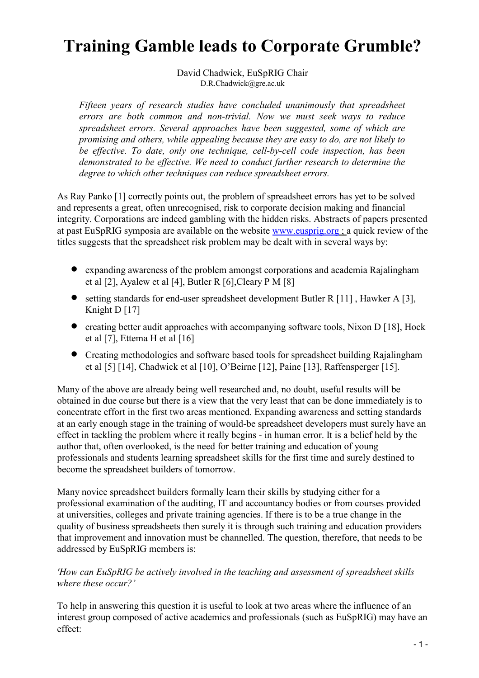# Training Gamble leads to Corporate Grumble?

David Chadwick, EuSpRIG Chair D.R.Chadwick@gre.ac.uk

Fifteen years of research studies have concluded unanimously that spreadsheet errors are both common and non-trivial. Now we must seek ways to reduce spreadsheet errors. Several approaches have been suggested, some of which are promising and others, while appealing because they are easy to do, are not likely to be effective. To date, only one technique, cell-by-cell code inspection, has been demonstrated to be effective. We need to conduct further research to determine the degree to which other techniques can reduce spreadsheet errors.

As Ray Panko [1] correctly points out, the problem of spreadsheet errors has yet to be solved and represents a great, often unrecognised, risk to corporate decision making and financial integrity. Corporations are indeed gambling with the hidden risks. Abstracts of papers presented at past EuSpRIG symposia are available on the website www.eusprig.org ; a quick review of the titles suggests that the spreadsheet risk problem may be dealt with in several ways by:

- expanding awareness of the problem amongst corporations and academia Rajalingham et al [2], Ayalew et al [4], Butler R [6],Cleary P M [8]
- setting standards for end-user spreadsheet development Butler R [11], Hawker A [3], Knight D [17]
- creating better audit approaches with accompanying software tools, Nixon D [18], Hock et al [7], Ettema H et al [16]
- Creating methodologies and software based tools for spreadsheet building Rajalingham et al [5] [14], Chadwick et al [10], O'Beirne [12], Paine [13], Raffensperger [15].

Many of the above are already being well researched and, no doubt, useful results will be obtained in due course but there is a view that the very least that can be done immediately is to concentrate effort in the first two areas mentioned. Expanding awareness and setting standards at an early enough stage in the training of would-be spreadsheet developers must surely have an effect in tackling the problem where it really begins - in human error. It is a belief held by the author that, often overlooked, is the need for better training and education of young professionals and students learning spreadsheet skills for the first time and surely destined to become the spreadsheet builders of tomorrow.

Many novice spreadsheet builders formally learn their skills by studying either for a professional examination of the auditing, IT and accountancy bodies or from courses provided at universities, colleges and private training agencies. If there is to be a true change in the quality of business spreadsheets then surely it is through such training and education providers that improvement and innovation must be channelled. The question, therefore, that needs to be addressed by EuSpRIG members is:

#### 'How can EuSpRIG be actively involved in the teaching and assessment of spreadsheet skills where these occur?'

To help in answering this question it is useful to look at two areas where the influence of an interest group composed of active academics and professionals (such as EuSpRIG) may have an effect: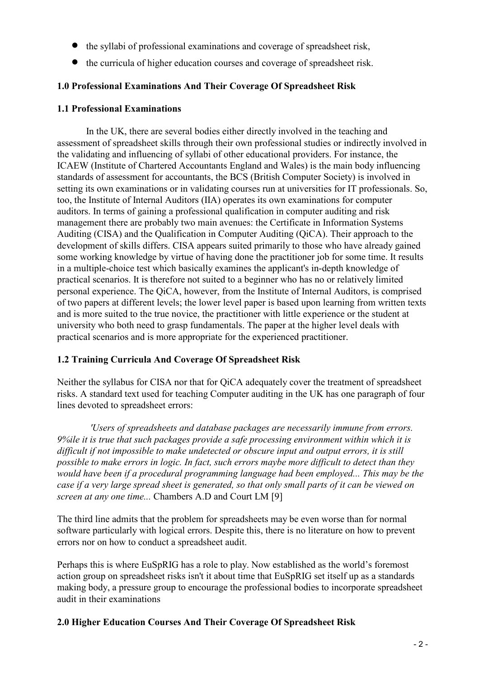- the syllabi of professional examinations and coverage of spreadsheet risk,
- the curricula of higher education courses and coverage of spreadsheet risk.

# 1.0 Professional Examinations And Their Coverage Of Spreadsheet Risk

## 1.1 Professional Examinations

In the UK, there are several bodies either directly involved in the teaching and assessment of spreadsheet skills through their own professional studies or indirectly involved in the validating and influencing of syllabi of other educational providers. For instance, the ICAEW (Institute of Chartered Accountants England and Wales) is the main body influencing standards of assessment for accountants, the BCS (British Computer Society) is involved in setting its own examinations or in validating courses run at universities for IT professionals. So, too, the Institute of Internal Auditors (IIA) operates its own examinations for computer auditors. In terms of gaining a professional qualification in computer auditing and risk management there are probably two main avenues: the Certificate in Information Systems Auditing (CISA) and the Qualification in Computer Auditing (QiCA). Their approach to the development of skills differs. CISA appears suited primarily to those who have already gained some working knowledge by virtue of having done the practitioner job for some time. It results in a multiple-choice test which basically examines the applicant's in-depth knowledge of practical scenarios. It is therefore not suited to a beginner who has no or relatively limited personal experience. The QiCA, however, from the Institute of Internal Auditors, is comprised of two papers at different levels; the lower level paper is based upon learning from written texts and is more suited to the true novice, the practitioner with little experience or the student at university who both need to grasp fundamentals. The paper at the higher level deals with practical scenarios and is more appropriate for the experienced practitioner.

# 1.2 Training Curricula And Coverage Of Spreadsheet Risk

Neither the syllabus for CISA nor that for QiCA adequately cover the treatment of spreadsheet risks. A standard text used for teaching Computer auditing in the UK has one paragraph of four lines devoted to spreadsheet errors:

'Users of spreadsheets and database packages are necessarily immune from errors. 9%ile it is true that such packages provide a safe processing environment within which it is difficult if not impossible to make undetected or obscure input and output errors, it is still possible to make errors in logic. In fact, such errors maybe more difficult to detect than they would have been if a procedural programming language had been employed... This may be the case if a very large spread sheet is generated, so that only small parts of it can be viewed on screen at any one time... Chambers A.D and Court LM [9]

The third line admits that the problem for spreadsheets may be even worse than for normal software particularly with logical errors. Despite this, there is no literature on how to prevent errors nor on how to conduct a spreadsheet audit.

Perhaps this is where EuSpRIG has a role to play. Now established as the world's foremost action group on spreadsheet risks isn't it about time that EuSpRIG set itself up as a standards making body, a pressure group to encourage the professional bodies to incorporate spreadsheet audit in their examinations

# 2.0 Higher Education Courses And Their Coverage Of Spreadsheet Risk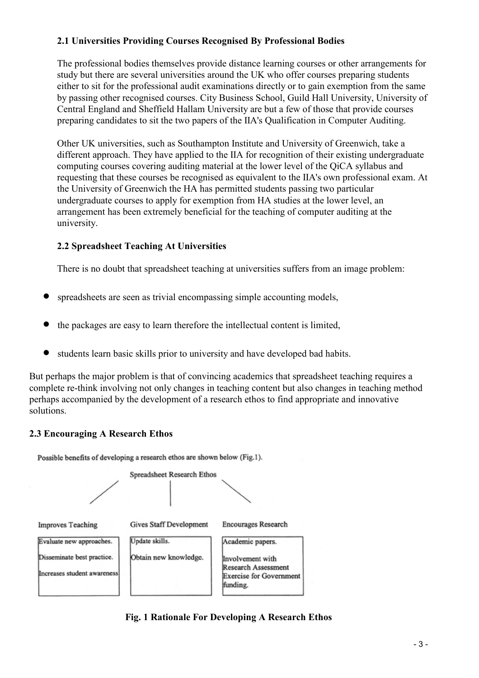# 2.1 Universities Providing Courses Recognised By Professional Bodies

The professional bodies themselves provide distance learning courses or other arrangements for study but there are several universities around the UK who offer courses preparing students either to sit for the professional audit examinations directly or to gain exemption from the same by passing other recognised courses. City Business School, Guild Hall University, University of Central England and Sheffield Hallam University are but a few of those that provide courses preparing candidates to sit the two papers of the IIA's Qualification in Computer Auditing.

Other UK universities, such as Southampton Institute and University of Greenwich, take a different approach. They have applied to the IIA for recognition of their existing undergraduate computing courses covering auditing material at the lower level of the QiCA syllabus and requesting that these courses be recognised as equivalent to the IIA's own professional exam. At the University of Greenwich the HA has permitted students passing two particular undergraduate courses to apply for exemption from HA studies at the lower level, an arrangement has been extremely beneficial for the teaching of computer auditing at the university.

# 2.2 Spreadsheet Teaching At Universities

There is no doubt that spreadsheet teaching at universities suffers from an image problem:

- spreadsheets are seen as trivial encompassing simple accounting models,
- the packages are easy to learn therefore the intellectual content is limited,
- students learn basic skills prior to university and have developed bad habits.

But perhaps the major problem is that of convincing academics that spreadsheet teaching requires a complete re-think involving not only changes in teaching content but also changes in teaching method perhaps accompanied by the development of a research ethos to find appropriate and innovative solutions.

# 2.3 Encouraging A Research Ethos

Possible benefits of developing a research ethos are shown below (Fig.1).



Fig. 1 Rationale For Developing A Research Ethos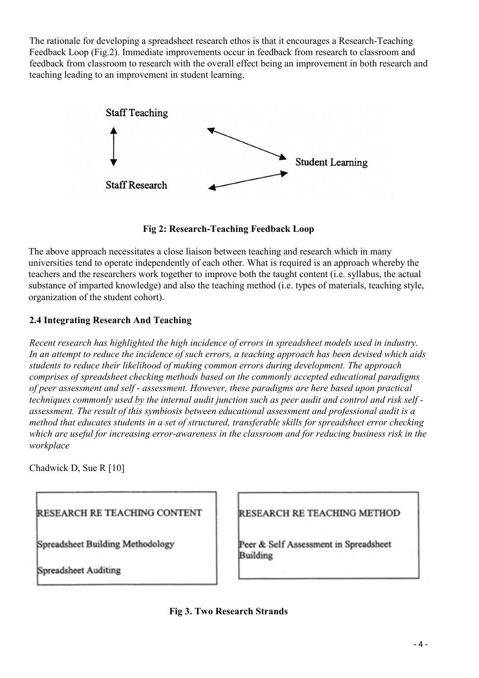The rationale for developing a spreadsheet research ethos is that it encourages a Research-Teaching Feedback Loop (Fig.2). Immediate improvements occur in feedback from research to classroom and feedback from classroom to research with the overall effect being an improvement in both research and teaching leading to an improvement in student learning.



Fig 2: Research-Teaching Feedback Loop

The above approach necessitates a close liaison between teaching and research which in many universities tend to operate independently of each other. What is required is an approach whereby the teachers and the researchers work together to improve both the taught content (i.e. syllabus, the actual substance of imparted knowledge) and also the teaching method (i.e. types of materials, teaching style, organization of the student cohort).

# 2.4 Integrating Research And Teaching

Recent research has highlighted the high incidence of errors in spreadsheet models used in industry. In an attempt to reduce the incidence of such errors, a teaching approach has been devised which aids students to reduce their likelihood of making common errors during development. The approach comprises of spreadsheet checking methods based on the commonly accepted educational paradigms of peer assessment and self - assessment. However, these paradigms are here based upon practical techniques commonly used by the internal audit junction such as peer audit and control and risk self assessment. The result of this symbiosis between educational assessment and professional audit is a method that educates students in a set of structured, transferable skills for spreadsheet error checking which are useful for increasing error-awareness in the classroom and for reducing business risk in the workplace

Chadwick D, Sue R [10]

RESEARCH RE TEACHING CONTENT

Spreadsheet Building Methodology

Spreadsheet Auditing

# RESEARCH RE TEACHING METHOD

Peer & Self Assessment in Spreadsheet Building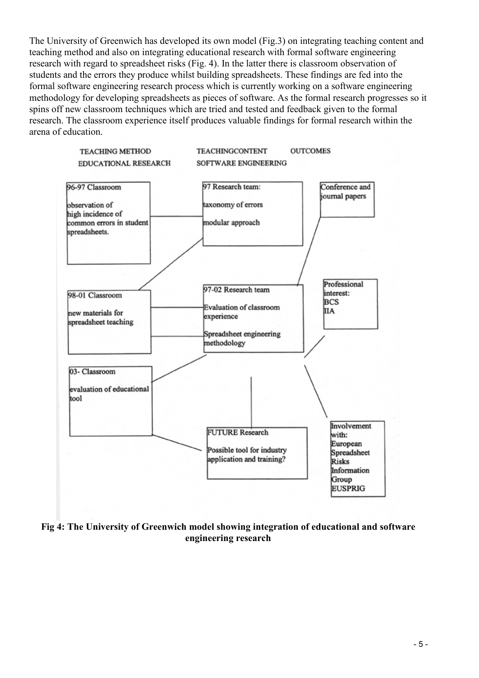The University of Greenwich has developed its own model (Fig.3) on integrating teaching content and teaching method and also on integrating educational research with formal software engineering research with regard to spreadsheet risks (Fig. 4). In the latter there is classroom observation of students and the errors they produce whilst building spreadsheets. These findings are fed into the formal software engineering research process which is currently working on a software engineering methodology for developing spreadsheets as pieces of software. As the formal research progresses so it spins off new classroom techniques which are tried and tested and feedback given to the formal research. The classroom experience itself produces valuable findings for formal research within the arena of education.



Fig 4: The University of Greenwich model showing integration of educational and software engineering research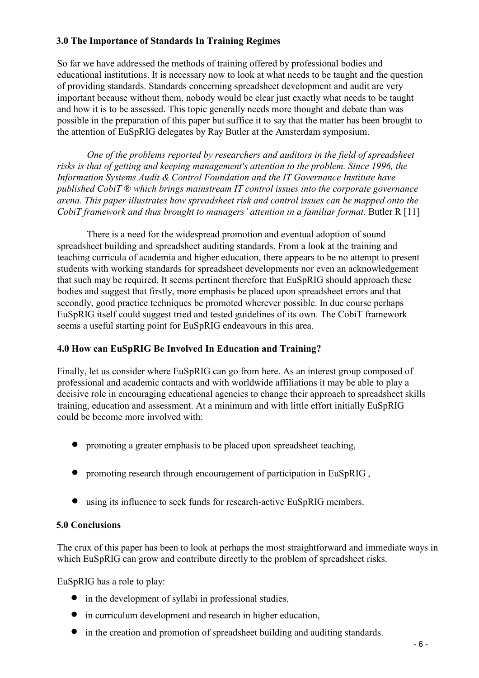# 3.0 The Importance of Standards In Training Regimes

So far we have addressed the methods of training offered by professional bodies and educational institutions. It is necessary now to look at what needs to be taught and the question of providing standards. Standards concerning spreadsheet development and audit are very important because without them, nobody would be clear just exactly what needs to be taught and how it is to be assessed. This topic generally needs more thought and debate than was possible in the preparation of this paper but suffice it to say that the matter has been brought to the attention of EuSpRIG delegates by Ray Butler at the Amsterdam symposium.

One of the problems reported by researchers and auditors in the field of spreadsheet risks is that of getting and keeping management's attention to the problem. Since 1996, the Information Systems Audit & Control Foundation and the IT Governance Institute have published CobiT ® which brings mainstream IT control issues into the corporate governance arena. This paper illustrates how spreadsheet risk and control issues can be mapped onto the CobiT framework and thus brought to managers' attention in a familiar format. Butler R [11]

There is a need for the widespread promotion and eventual adoption of sound spreadsheet building and spreadsheet auditing standards. From a look at the training and teaching curricula of academia and higher education, there appears to be no attempt to present students with working standards for spreadsheet developments nor even an acknowledgement that such may be required. It seems pertinent therefore that EuSpRIG should approach these bodies and suggest that firstly, more emphasis be placed upon spreadsheet errors and that secondly, good practice techniques be promoted wherever possible. In due course perhaps EuSpRIG itself could suggest tried and tested guidelines of its own. The CobiT framework seems a useful starting point for EuSpRIG endeavours in this area.

# 4.0 How can EuSpRIG Be Involved In Education and Training?

Finally, let us consider where EuSpRIG can go from here. As an interest group composed of professional and academic contacts and with worldwide affiliations it may be able to play a decisive role in encouraging educational agencies to change their approach to spreadsheet skills training, education and assessment. At a minimum and with little effort initially EuSpRIG could be become more involved with:

- promoting a greater emphasis to be placed upon spreadsheet teaching,
- promoting research through encouragement of participation in EuSpRIG,
- using its influence to seek funds for research-active EuSpRIG members.

#### 5.0 Conclusions

The crux of this paper has been to look at perhaps the most straightforward and immediate ways in which EuSpRIG can grow and contribute directly to the problem of spreadsheet risks.

EuSpRIG has a role to play:

- in the development of syllabi in professional studies,
- in curriculum development and research in higher education,
- in the creation and promotion of spreadsheet building and auditing standards.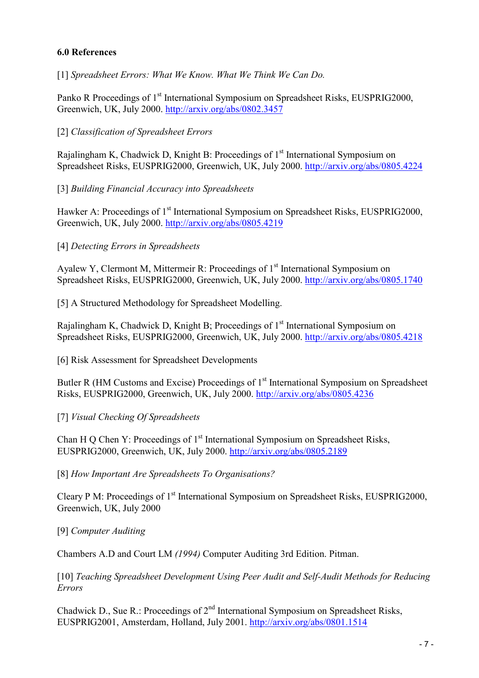## 6.0 References

[1] Spreadsheet Errors: What We Know. What We Think We Can Do.

Panko R Proceedings of 1<sup>st</sup> International Symposium on Spreadsheet Risks, EUSPRIG2000, Greenwich, UK, July 2000. http://arxiv.org/abs/0802.3457

## [2] Classification of Spreadsheet Errors

Rajalingham K, Chadwick D, Knight B: Proceedings of  $1<sup>st</sup>$  International Symposium on Spreadsheet Risks, EUSPRIG2000, Greenwich, UK, July 2000. http://arxiv.org/abs/0805.4224

#### [3] Building Financial Accuracy into Spreadsheets

Hawker A: Proceedings of 1<sup>st</sup> International Symposium on Spreadsheet Risks, EUSPRIG2000, Greenwich, UK, July 2000. http://arxiv.org/abs/0805.4219

## [4] Detecting Errors in Spreadsheets

Ayalew Y, Clermont M, Mittermeir R: Proceedings of 1<sup>st</sup> International Symposium on Spreadsheet Risks, EUSPRIG2000, Greenwich, UK, July 2000. http://arxiv.org/abs/0805.1740

[5] A Structured Methodology for Spreadsheet Modelling.

Rajalingham K, Chadwick D, Knight B; Proceedings of  $1<sup>st</sup>$  International Symposium on Spreadsheet Risks, EUSPRIG2000, Greenwich, UK, July 2000. http://arxiv.org/abs/0805.4218

[6] Risk Assessment for Spreadsheet Developments

Butler R (HM Customs and Excise) Proceedings of 1<sup>st</sup> International Symposium on Spreadsheet Risks, EUSPRIG2000, Greenwich, UK, July 2000. http://arxiv.org/abs/0805.4236

#### [7] Visual Checking Of Spreadsheets

Chan H Q Chen Y: Proceedings of  $1<sup>st</sup>$  International Symposium on Spreadsheet Risks, EUSPRIG2000, Greenwich, UK, July 2000. http://arxiv.org/abs/0805.2189

[8] How Important Are Spreadsheets To Organisations?

Cleary P M: Proceedings of 1<sup>st</sup> International Symposium on Spreadsheet Risks, EUSPRIG2000, Greenwich, UK, July 2000

#### [9] Computer Auditing

Chambers A.D and Court LM (1994) Computer Auditing 3rd Edition. Pitman.

[10] Teaching Spreadsheet Development Using Peer Audit and Self-Audit Methods for Reducing Errors

Chadwick D., Sue R.: Proceedings of  $2<sup>nd</sup>$  International Symposium on Spreadsheet Risks, EUSPRIG2001, Amsterdam, Holland, July 2001. http://arxiv.org/abs/0801.1514